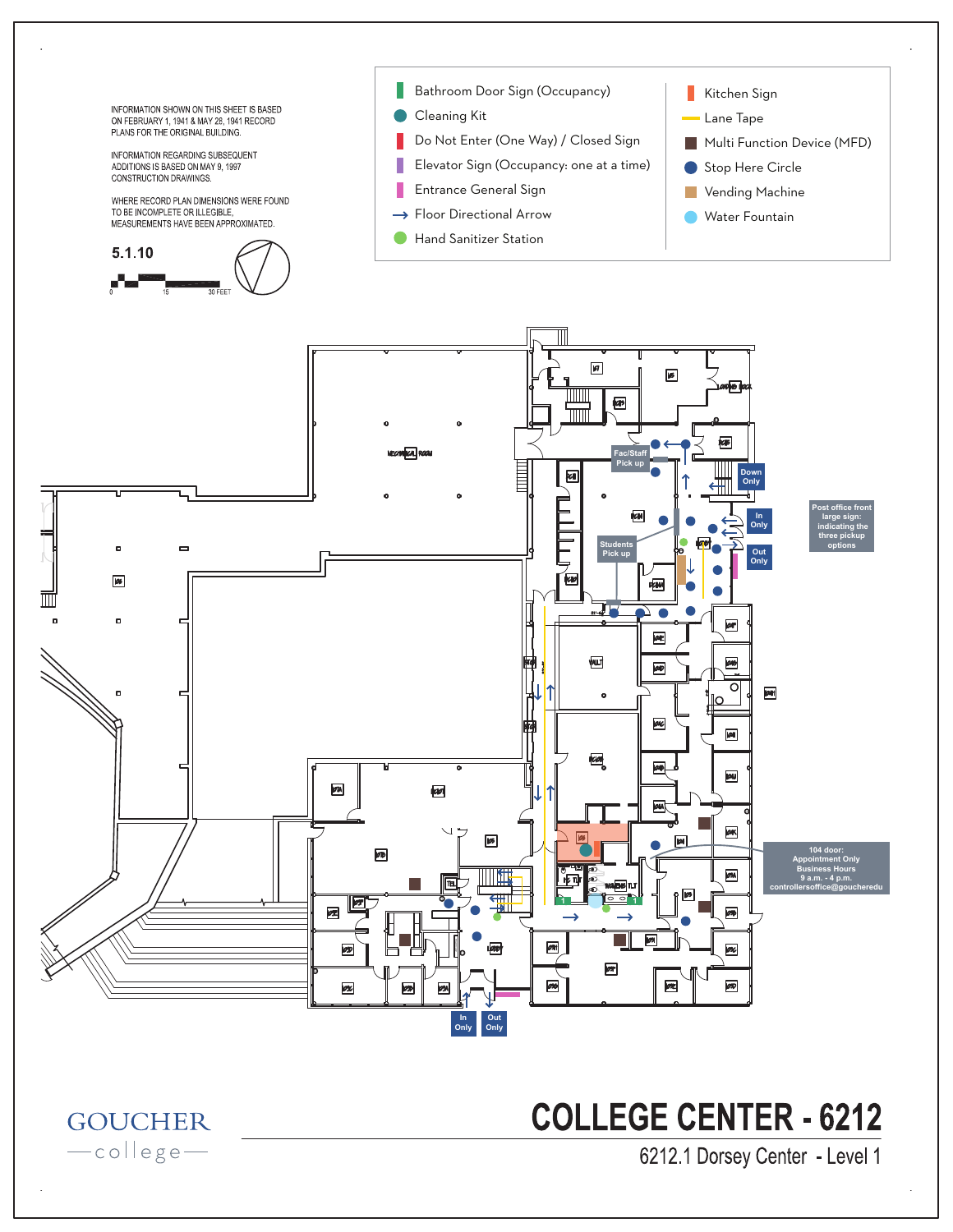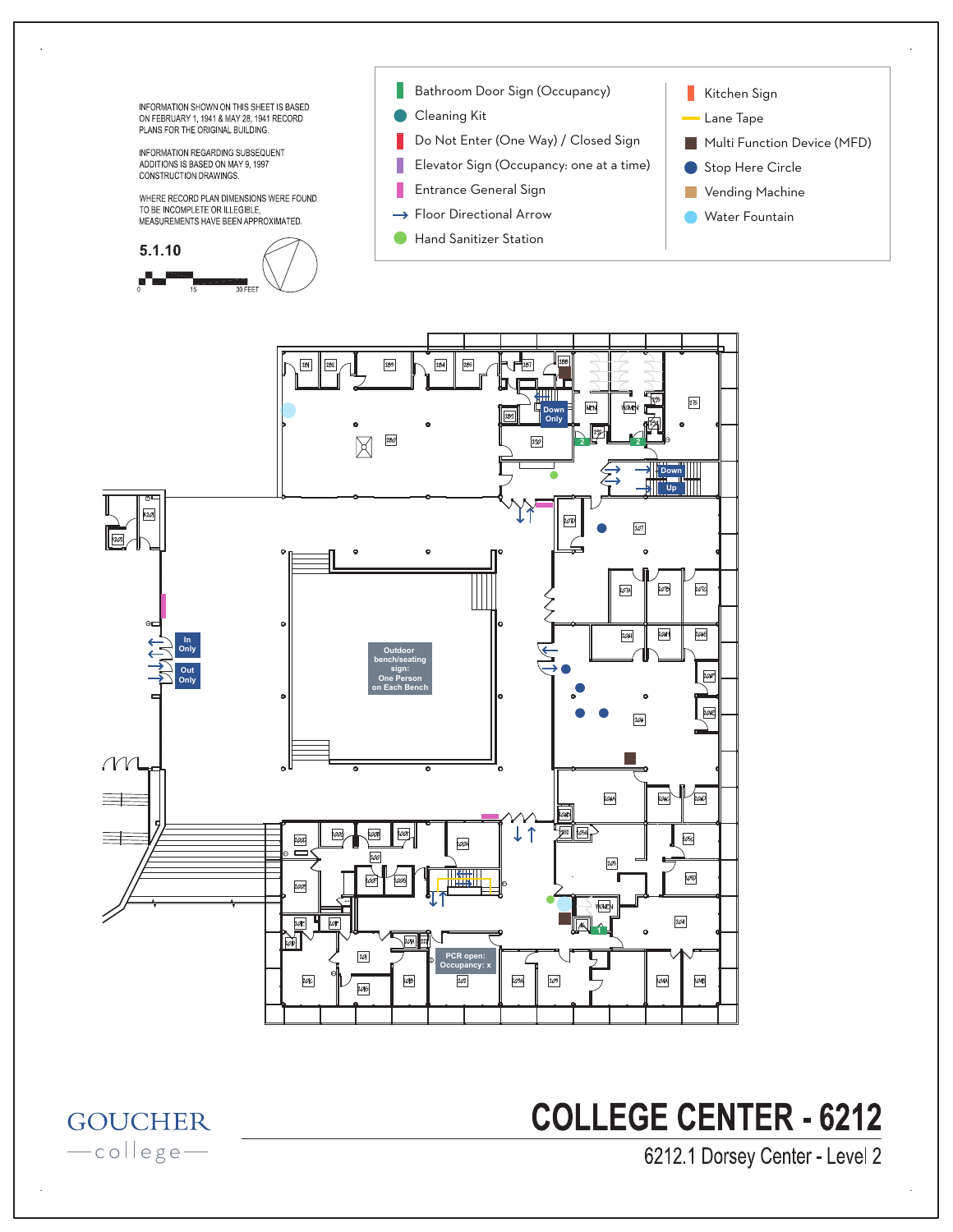Bathroom Door Sign (Occupancy) Kitchen Sign INFORMATION SHOWN ON THIS SHEET IS BASED Cleaning Kit **Lane Tape** ON FEBRUARY 1, 1941 & MAY 28, 1941 RECORD PLANS FOR THE ORIGINAL BUILDING. Do Not Enter (One Way) / Closed Sign **Multi Function Device (MFD)** INFORMATION REGARDING SUBSEQUENT ADDITIONS IS BASED ON MAY 9, 1997 Elevator Sign (Occupancy: one at a time) L Stop Here Circle CONSTRUCTION DRAWINGS. Entrance General Sign L Vending Machine WHERE RECORD PLAN DIMENSIONS WERE FOUND TO BE INCOMPLETE OR ILLEGIBLE, Floor Directional Arrow Water Fountain MEASUREMENTS HAVE BEEN APPROXIMATED. Hand Sanitizer Station 5.1.10  $\boxed{282}$  $284\,$  $28\vert$  $283\,$  $2\rlap{55}$  $275\,$  $\overline{\text{MPN}}$ WOMEN **Down Only** ö ||292  $280\,$  $2\%$  $\boxtimes$ **2 2** Ш **Down**iШ **Up** pop  $\boxed{2 \mathcal{O}7}$  $\ddot{\circ}$  $\nu$  $\sqrt{\omega_{\rm L}}$  $\overline{\mathcal{O}}$ lA poet  $\omega\epsilon$  $206$ **In Only Outdoor bench/seating Out sign:**  $\overline{\log}$  **One Person Only on Each Bench** port  $\Lambda\Lambda$  $\sqrt{\frac{1}{100}}$  $\frac{1}{2}$  $\overline{\omega}$  $=$ ับ 1 2000  $\equiv$  $\sqrt{2}$ paa  $200<sup>k</sup>$  $205\,$  $\overline{\mathscr{O}^{\mathrm{SD}}}$ poot **YOMB**  $\overline{\mathscr{P}}$  $204\,$  $p\sigma E$ **1** polal  $\overline{\mathcal{W}}$ **PCR open: Occupancy: x**  $200$  $\omega$  $203A$  $10\%$  $\overline{\mathcal{O}4A}$  $2045$  $\boxed{202}$  $\overline{\text{pos}}$ 

## **COLLEGE CENTER - 6212**

6212.1 Dorsey Center - Level 2

**GOUCHER** -college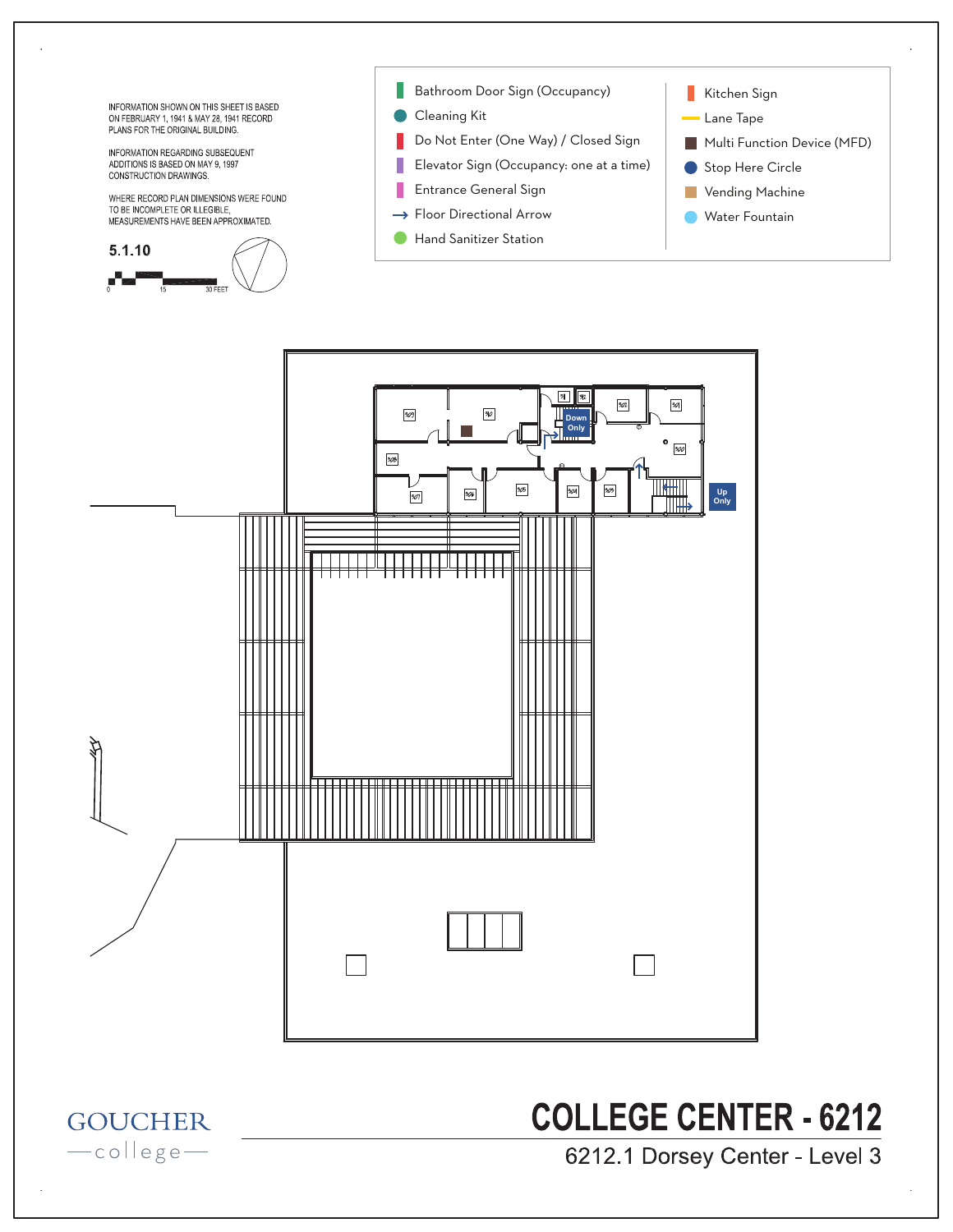INFORMATION SHOWN ON THIS SHEET IS BASED ON FEBRUARY 1, 1941 & MAY 28, 1941 RECORD PLANS FOR THE ORIGINAL BUILDING.

INFORMATION REGARDING SUBSEQUENT ADDITIONS IS BASED ON MAY 9, 1997<br>CONSTRUCTION DRAWINGS.

WHERE RECORD PLAN DIMENSIONS WERE FOUND TO BE INCOMPLETE OR ILLEGIBLE, MEASUREMENTS HAVE BEEN APPROXIMATED.

5.1.10

**GOUCHER** -college-





## **COLLEGE CENTER - 6212**

6212.1 Dorsey Center - Level 3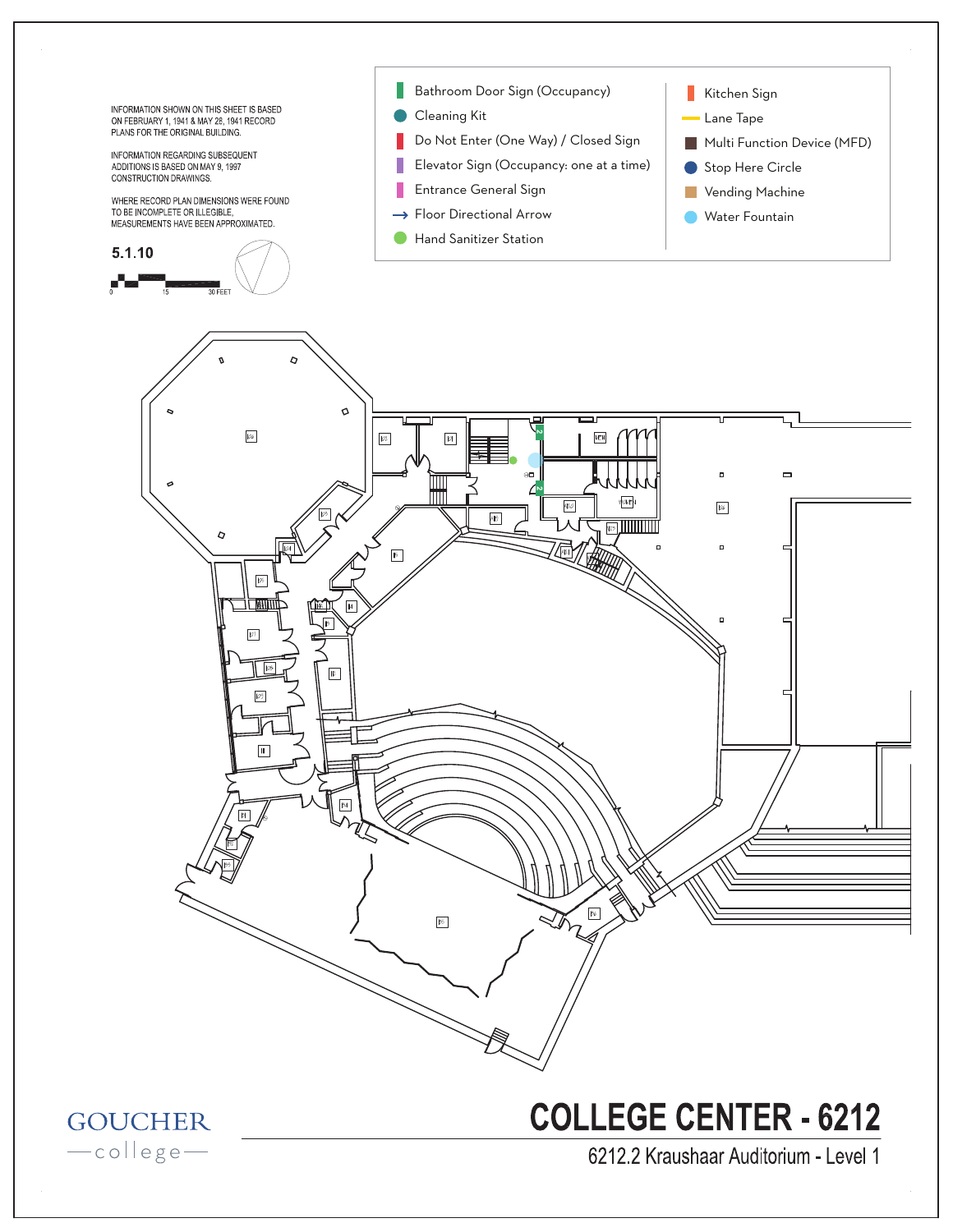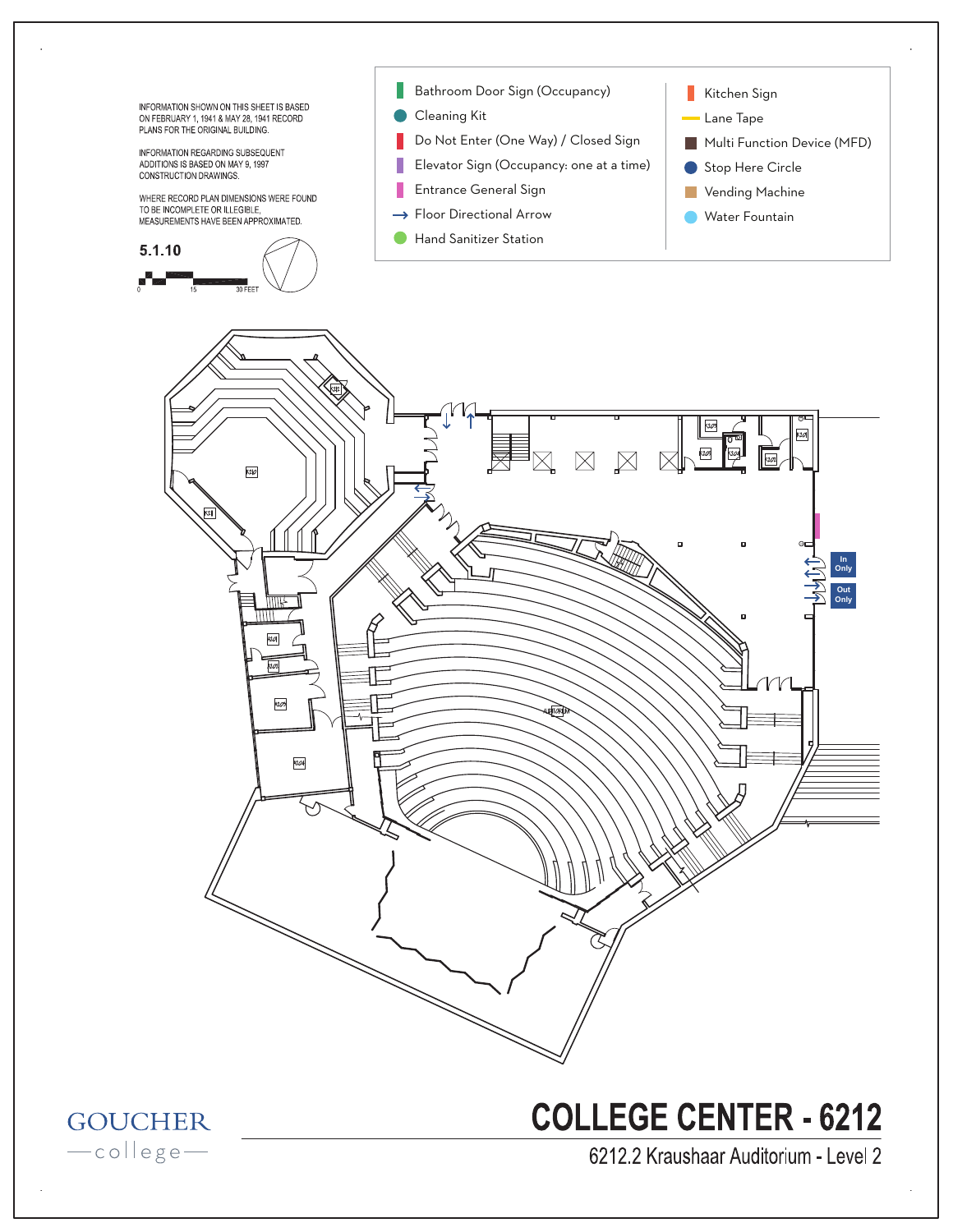